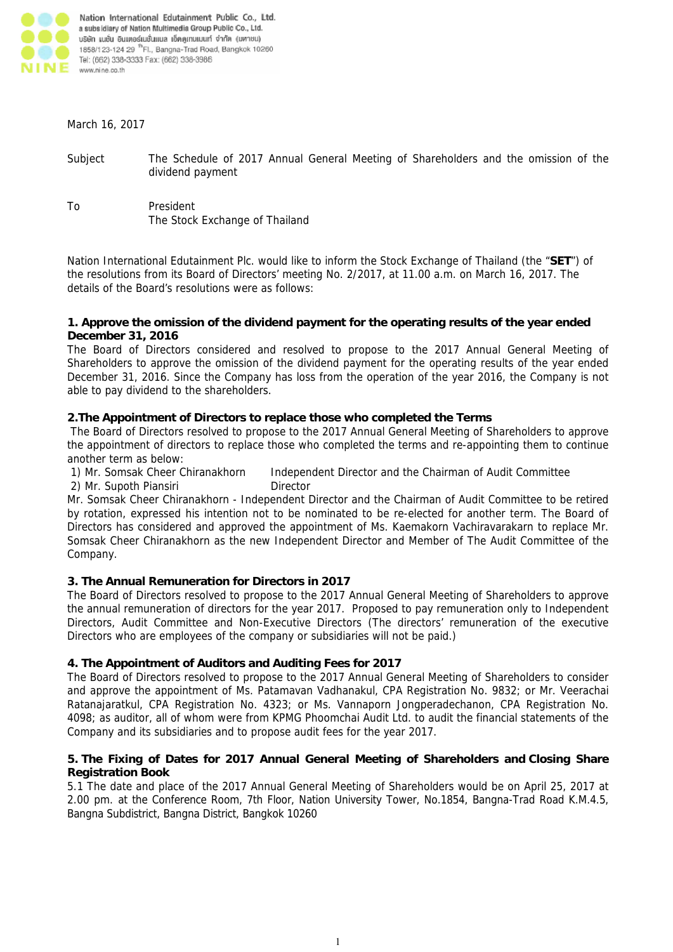

#### March 16, 2017

Subject The Schedule of 2017 Annual General Meeting of Shareholders and the omission of the dividend payment

To President The Stock Exchange of Thailand

Nation International Edutainment Plc. would like to inform the Stock Exchange of Thailand (the "**SET**") of the resolutions from its Board of Directors' meeting No. 2/2017, at 11.00 a.m. on March 16, 2017. The details of the Board's resolutions were as follows:

### **1. Approve the omission of the dividend payment for the operating results of the year ended December 31, 2016**

The Board of Directors considered and resolved to propose to the 2017 Annual General Meeting of Shareholders to approve the omission of the dividend payment for the operating results of the year ended December 31, 2016. Since the Company has loss from the operation of the year 2016, the Company is not able to pay dividend to the shareholders.

## **2.The Appointment of Directors to replace those who completed the Terms**

The Board of Directors resolved to propose to the 2017 Annual General Meeting of Shareholders to approve the appointment of directors to replace those who completed the terms and re-appointing them to continue another term as below:

- 1) Mr. Somsak Cheer Chiranakhorn Independent Director and the Chairman of Audit Committee
- 2) Mr. Supoth Piansiri Director

Mr. Somsak Cheer Chiranakhorn - Independent Director and the Chairman of Audit Committee to be retired by rotation, expressed his intention not to be nominated to be re-elected for another term. The Board of Directors has considered and approved the appointment of Ms. Kaemakorn Vachiravarakarn to replace Mr. Somsak Cheer Chiranakhorn as the new Independent Director and Member of The Audit Committee of the Company.

# **3. The Annual Remuneration for Directors in 2017**

The Board of Directors resolved to propose to the 2017 Annual General Meeting of Shareholders to approve the annual remuneration of directors for the year 2017. Proposed to pay remuneration only to Independent Directors, Audit Committee and Non-Executive Directors (The directors' remuneration of the executive Directors who are employees of the company or subsidiaries will not be paid.)

## **4. The Appointment of Auditors and Auditing Fees for 2017**

The Board of Directors resolved to propose to the 2017 Annual General Meeting of Shareholders to consider and approve the appointment of Ms. Patamavan Vadhanakul, CPA Registration No. 9832; or Mr. Veerachai Ratanajaratkul, CPA Registration No. 4323; or Ms. Vannaporn Jongperadechanon, CPA Registration No. 4098; as auditor, all of whom were from KPMG Phoomchai Audit Ltd. to audit the financial statements of the Company and its subsidiaries and to propose audit fees for the year 2017.

## **5. The Fixing of Dates for 2017 Annual General Meeting of Shareholders and Closing Share Registration Book**

5.1 The date and place of the 2017 Annual General Meeting of Shareholders would be on April 25, 2017 at 2.00 pm. at the Conference Room, 7th Floor, Nation University Tower, No.1854, Bangna-Trad Road K.M.4.5, Bangna Subdistrict, Bangna District, Bangkok 10260